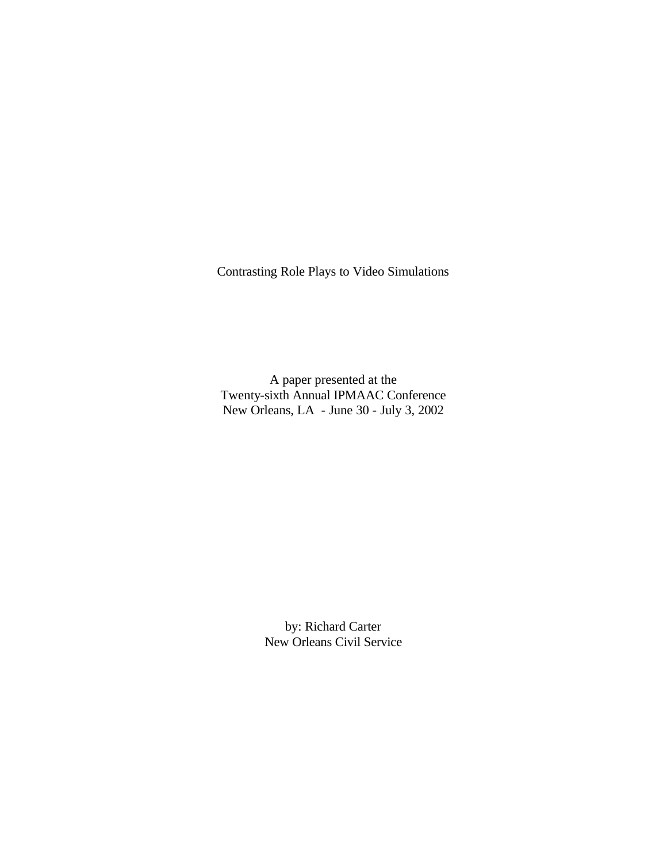Contrasting Role Plays to Video Simulations

A paper presented at the Twenty-sixth Annual IPMAAC Conference New Orleans, LA - June 30 - July 3, 2002

> by: Richard Carter New Orleans Civil Service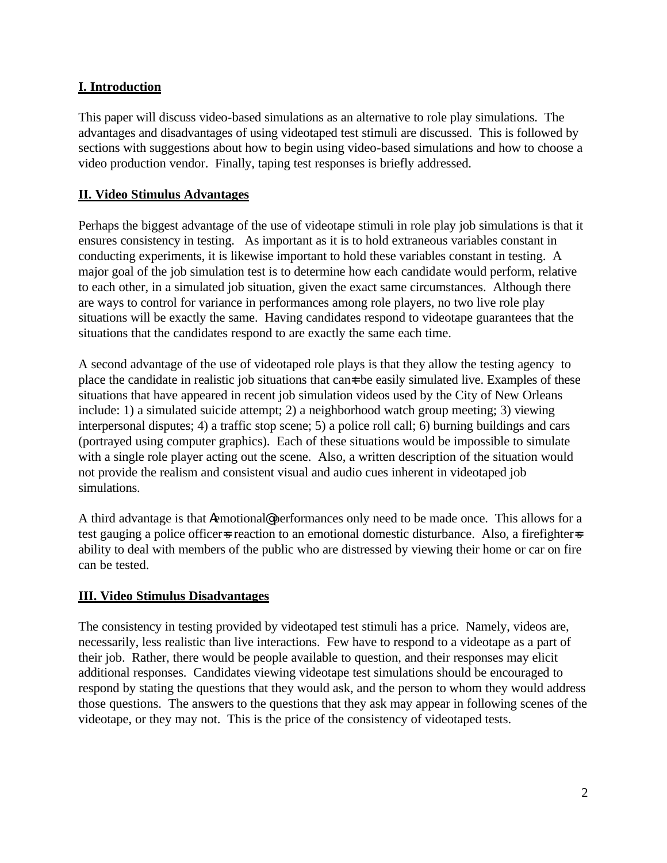# **I. Introduction**

This paper will discuss video-based simulations as an alternative to role play simulations. The advantages and disadvantages of using videotaped test stimuli are discussed. This is followed by sections with suggestions about how to begin using video-based simulations and how to choose a video production vendor. Finally, taping test responses is briefly addressed.

# **II. Video Stimulus Advantages**

Perhaps the biggest advantage of the use of videotape stimuli in role play job simulations is that it ensures consistency in testing. As important as it is to hold extraneous variables constant in conducting experiments, it is likewise important to hold these variables constant in testing. A major goal of the job simulation test is to determine how each candidate would perform, relative to each other, in a simulated job situation, given the exact same circumstances. Although there are ways to control for variance in performances among role players, no two live role play situations will be exactly the same. Having candidates respond to videotape guarantees that the situations that the candidates respond to are exactly the same each time.

A second advantage of the use of videotaped role plays is that they allow the testing agency to place the candidate in realistic job situations that can t be easily simulated live. Examples of these situations that have appeared in recent job simulation videos used by the City of New Orleans include: 1) a simulated suicide attempt; 2) a neighborhood watch group meeting; 3) viewing interpersonal disputes; 4) a traffic stop scene; 5) a police roll call; 6) burning buildings and cars (portrayed using computer graphics). Each of these situations would be impossible to simulate with a single role player acting out the scene. Also, a written description of the situation would not provide the realism and consistent visual and audio cues inherent in videotaped job simulations.

A third advantage is that Aemotional@ performances only need to be made once. This allows for a test gauging a police officer=s reaction to an emotional domestic disturbance. Also, a firefighter=s ability to deal with members of the public who are distressed by viewing their home or car on fire can be tested.

## **III. Video Stimulus Disadvantages**

The consistency in testing provided by videotaped test stimuli has a price. Namely, videos are, necessarily, less realistic than live interactions. Few have to respond to a videotape as a part of their job. Rather, there would be people available to question, and their responses may elicit additional responses. Candidates viewing videotape test simulations should be encouraged to respond by stating the questions that they would ask, and the person to whom they would address those questions. The answers to the questions that they ask may appear in following scenes of the videotape, or they may not. This is the price of the consistency of videotaped tests.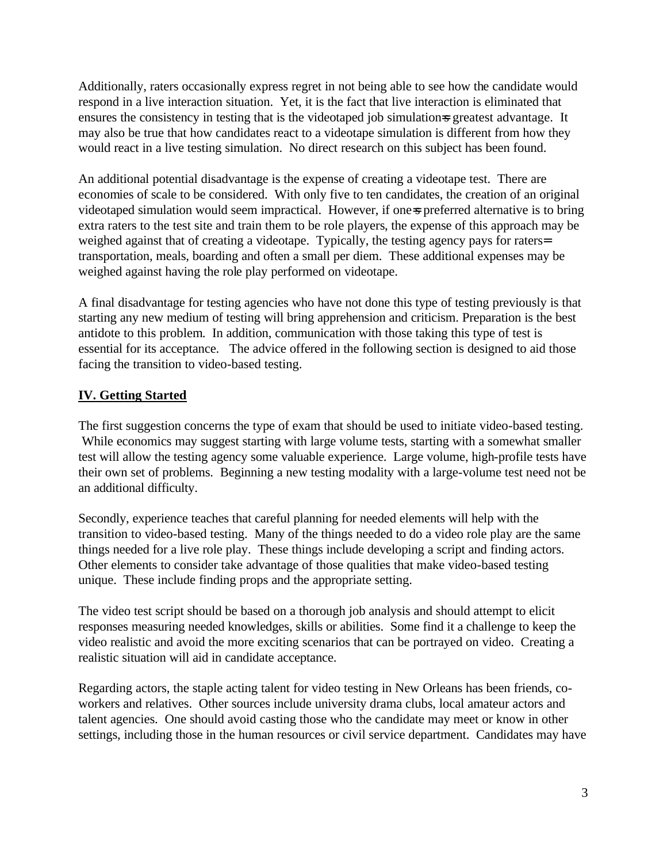Additionally, raters occasionally express regret in not being able to see how the candidate would respond in a live interaction situation. Yet, it is the fact that live interaction is eliminated that ensures the consistency in testing that is the videotaped job simulations greatest advantage. It may also be true that how candidates react to a videotape simulation is different from how they would react in a live testing simulation. No direct research on this subject has been found.

An additional potential disadvantage is the expense of creating a videotape test. There are economies of scale to be considered. With only five to ten candidates, the creation of an original videotaped simulation would seem impractical. However, if one-s preferred alternative is to bring extra raters to the test site and train them to be role players, the expense of this approach may be weighed against that of creating a videotape. Typically, the testing agency pays for raters= transportation, meals, boarding and often a small per diem. These additional expenses may be weighed against having the role play performed on videotape.

A final disadvantage for testing agencies who have not done this type of testing previously is that starting any new medium of testing will bring apprehension and criticism. Preparation is the best antidote to this problem. In addition, communication with those taking this type of test is essential for its acceptance. The advice offered in the following section is designed to aid those facing the transition to video-based testing.

# **IV. Getting Started**

The first suggestion concerns the type of exam that should be used to initiate video-based testing. While economics may suggest starting with large volume tests, starting with a somewhat smaller test will allow the testing agency some valuable experience. Large volume, high-profile tests have their own set of problems. Beginning a new testing modality with a large-volume test need not be an additional difficulty.

Secondly, experience teaches that careful planning for needed elements will help with the transition to video-based testing. Many of the things needed to do a video role play are the same things needed for a live role play. These things include developing a script and finding actors. Other elements to consider take advantage of those qualities that make video-based testing unique. These include finding props and the appropriate setting.

The video test script should be based on a thorough job analysis and should attempt to elicit responses measuring needed knowledges, skills or abilities. Some find it a challenge to keep the video realistic and avoid the more exciting scenarios that can be portrayed on video. Creating a realistic situation will aid in candidate acceptance.

Regarding actors, the staple acting talent for video testing in New Orleans has been friends, coworkers and relatives. Other sources include university drama clubs, local amateur actors and talent agencies. One should avoid casting those who the candidate may meet or know in other settings, including those in the human resources or civil service department. Candidates may have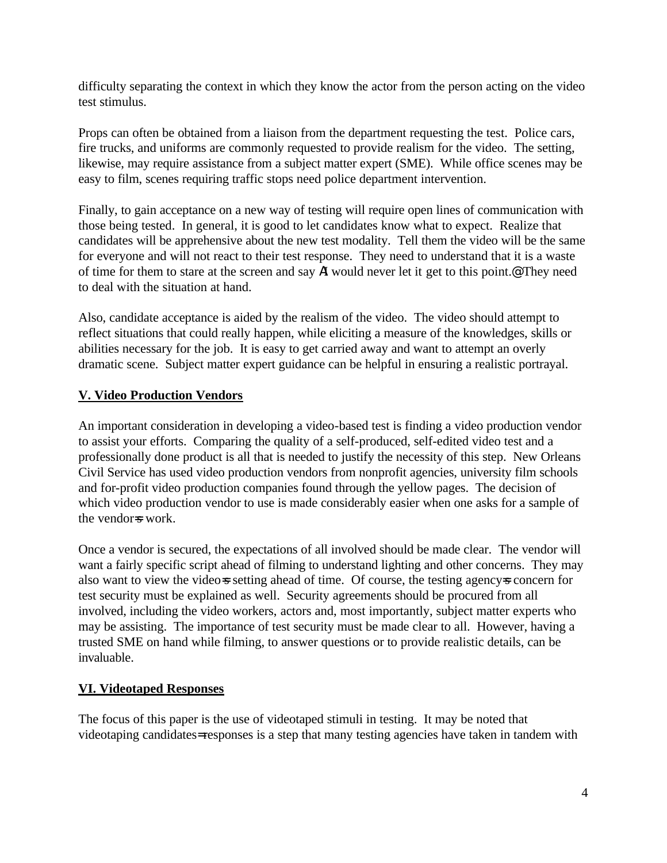difficulty separating the context in which they know the actor from the person acting on the video test stimulus.

Props can often be obtained from a liaison from the department requesting the test. Police cars, fire trucks, and uniforms are commonly requested to provide realism for the video. The setting, likewise, may require assistance from a subject matter expert (SME). While office scenes may be easy to film, scenes requiring traffic stops need police department intervention.

Finally, to gain acceptance on a new way of testing will require open lines of communication with those being tested. In general, it is good to let candidates know what to expect. Realize that candidates will be apprehensive about the new test modality. Tell them the video will be the same for everyone and will not react to their test response. They need to understand that it is a waste of time for them to stare at the screen and say AI would never let it get to this point.@ They need to deal with the situation at hand.

Also, candidate acceptance is aided by the realism of the video. The video should attempt to reflect situations that could really happen, while eliciting a measure of the knowledges, skills or abilities necessary for the job. It is easy to get carried away and want to attempt an overly dramatic scene. Subject matter expert guidance can be helpful in ensuring a realistic portrayal.

# **V. Video Production Vendors**

An important consideration in developing a video-based test is finding a video production vendor to assist your efforts. Comparing the quality of a self-produced, self-edited video test and a professionally done product is all that is needed to justify the necessity of this step. New Orleans Civil Service has used video production vendors from nonprofit agencies, university film schools and for-profit video production companies found through the yellow pages. The decision of which video production vendor to use is made considerably easier when one asks for a sample of the vendor=s work.

Once a vendor is secured, the expectations of all involved should be made clear. The vendor will want a fairly specific script ahead of filming to understand lighting and other concerns. They may also want to view the videos setting ahead of time. Of course, the testing agencys concern for test security must be explained as well. Security agreements should be procured from all involved, including the video workers, actors and, most importantly, subject matter experts who may be assisting. The importance of test security must be made clear to all. However, having a trusted SME on hand while filming, to answer questions or to provide realistic details, can be invaluable.

## **VI. Videotaped Responses**

The focus of this paper is the use of videotaped stimuli in testing. It may be noted that videotaping candidates= responses is a step that many testing agencies have taken in tandem with